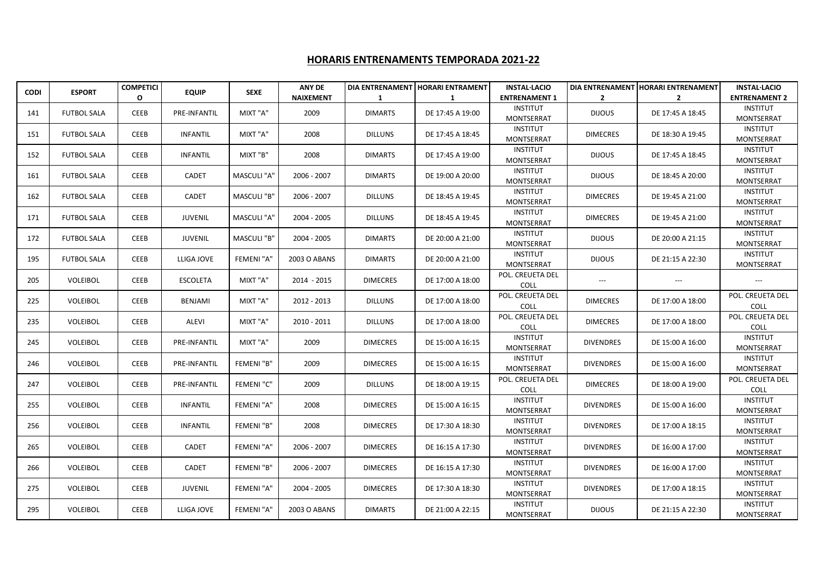## **HORARIS ENTRENAMENTS TEMPORADA 2021-22**

|             |                    | <b>COMPETICI</b> |                 | <b>SEXE</b>       | <b>ANY DE</b>    |                 | DIA ENTRENAMENT   HORARI ENTRAMENT | <b>INSTAL·LACIO</b>                  |                  | DIA ENTRENAMENT HORARI ENTRENAMENT | <b>INSTAL·LACIO</b>                  |
|-------------|--------------------|------------------|-----------------|-------------------|------------------|-----------------|------------------------------------|--------------------------------------|------------------|------------------------------------|--------------------------------------|
| <b>CODI</b> | <b>ESPORT</b>      | $\mathbf{o}$     | <b>EQUIP</b>    |                   | <b>NAIXEMENT</b> | -1              | -1                                 | <b>ENTRENAMENT 1</b>                 | $\overline{2}$   | $\overline{2}$                     | <b>ENTRENAMENT 2</b>                 |
| 141         | <b>FUTBOL SALA</b> | <b>CEEB</b>      | PRE-INFANTIL    | MIXT "A"          | 2009             | <b>DIMARTS</b>  | DE 17:45 A 19:00                   | <b>INSTITUT</b><br><b>MONTSERRAT</b> | <b>DIJOUS</b>    | DE 17:45 A 18:45                   | <b>INSTITUT</b><br><b>MONTSERRAT</b> |
| 151         | <b>FUTBOL SALA</b> | CEEB             | <b>INFANTIL</b> | MIXT "A"          | 2008             | <b>DILLUNS</b>  | DE 17:45 A 18:45                   | <b>INSTITUT</b><br><b>MONTSERRAT</b> | <b>DIMECRES</b>  | DE 18:30 A 19:45                   | <b>INSTITUT</b><br>MONTSERRAT        |
| 152         | <b>FUTBOL SALA</b> | CEEB             | <b>INFANTIL</b> | MIXT "B"          | 2008             | <b>DIMARTS</b>  | DE 17:45 A 19:00                   | <b>INSTITUT</b><br><b>MONTSERRAT</b> | <b>DIJOUS</b>    | DE 17:45 A 18:45                   | <b>INSTITUT</b><br><b>MONTSERRAT</b> |
| 161         | <b>FUTBOL SALA</b> | <b>CEEB</b>      | CADET           | MASCULI "A"       | 2006 - 2007      | <b>DIMARTS</b>  | DE 19:00 A 20:00                   | <b>INSTITUT</b><br><b>MONTSERRAT</b> | <b>DIJOUS</b>    | DE 18:45 A 20:00                   | <b>INSTITUT</b><br><b>MONTSERRAT</b> |
| 162         | <b>FUTBOL SALA</b> | CEEB             | CADET           | MASCULI "B"       | 2006 - 2007      | <b>DILLUNS</b>  | DE 18:45 A 19:45                   | <b>INSTITUT</b><br>MONTSERRAT        | <b>DIMECRES</b>  | DE 19:45 A 21:00                   | <b>INSTITUT</b><br>MONTSERRAT        |
| 171         | <b>FUTBOL SALA</b> | <b>CEEB</b>      | <b>JUVENIL</b>  | MASCULI "A"       | 2004 - 2005      | <b>DILLUNS</b>  | DE 18:45 A 19:45                   | <b>INSTITUT</b><br>MONTSERRAT        | <b>DIMECRES</b>  | DE 19:45 A 21:00                   | <b>INSTITUT</b><br>MONTSERRAT        |
| 172         | <b>FUTBOL SALA</b> | <b>CEEB</b>      | <b>JUVENIL</b>  | MASCULI "B"       | 2004 - 2005      | <b>DIMARTS</b>  | DE 20:00 A 21:00                   | <b>INSTITUT</b><br><b>MONTSERRAT</b> | <b>DIJOUS</b>    | DE 20:00 A 21:15                   | <b>INSTITUT</b><br><b>MONTSERRAT</b> |
| 195         | <b>FUTBOL SALA</b> | <b>CEEB</b>      | LLIGA JOVE      | <b>FEMENI "A"</b> | 2003 O ABANS     | <b>DIMARTS</b>  | DE 20:00 A 21:00                   | <b>INSTITUT</b><br>MONTSERRAT        | <b>DIJOUS</b>    | DE 21:15 A 22:30                   | <b>INSTITUT</b><br>MONTSERRAT        |
| 205         | <b>VOLEIBOL</b>    | <b>CEEB</b>      | <b>ESCOLETA</b> | MIXT "A"          | 2014 - 2015      | <b>DIMECRES</b> | DE 17:00 A 18:00                   | POL. CREUETA DEL<br><b>COLL</b>      | $---$            | $---$                              | $\hspace{0.05cm} \ldots$             |
| 225         | VOLEIBOL           | <b>CEEB</b>      | BENJAMI         | MIXT "A"          | 2012 - 2013      | <b>DILLUNS</b>  | DE 17:00 A 18:00                   | POL. CREUETA DEL<br>COLL             | <b>DIMECRES</b>  | DE 17:00 A 18:00                   | POL. CREUETA DEL<br>COLL             |
| 235         | VOLEIBOL           | CEEB             | ALEVI           | MIXT "A"          | 2010 - 2011      | <b>DILLUNS</b>  | DE 17:00 A 18:00                   | POL. CREUETA DEL<br>COLL             | <b>DIMECRES</b>  | DE 17:00 A 18:00                   | POL. CREUETA DEL<br>COLL             |
| 245         | VOLEIBOL           | <b>CEEB</b>      | PRE-INFANTIL    | MIXT "A"          | 2009             | <b>DIMECRES</b> | DE 15:00 A 16:15                   | <b>INSTITUT</b><br><b>MONTSERRAT</b> | <b>DIVENDRES</b> | DE 15:00 A 16:00                   | <b>INSTITUT</b><br><b>MONTSERRAT</b> |
| 246         | VOLEIBOL           | <b>CEEB</b>      | PRE-INFANTIL    | FEMENI "B"        | 2009             | <b>DIMECRES</b> | DE 15:00 A 16:15                   | <b>INSTITUT</b><br><b>MONTSERRAT</b> | <b>DIVENDRES</b> | DE 15:00 A 16:00                   | <b>INSTITUT</b><br><b>MONTSERRAT</b> |
| 247         | VOLEIBOL           | <b>CEEB</b>      | PRE-INFANTIL    | FEMENI "C"        | 2009             | <b>DILLUNS</b>  | DE 18:00 A 19:15                   | POL. CREUETA DEL<br>COLL             | <b>DIMECRES</b>  | DE 18:00 A 19:00                   | POL. CREUETA DEL<br>COLL             |
| 255         | VOLEIBOL           | <b>CEEB</b>      | <b>INFANTIL</b> | FEMENI "A"        | 2008             | <b>DIMECRES</b> | DE 15:00 A 16:15                   | <b>INSTITUT</b><br>MONTSERRAT        | <b>DIVENDRES</b> | DE 15:00 A 16:00                   | <b>INSTITUT</b><br><b>MONTSERRAT</b> |
| 256         | VOLEIBOL           | CEEB             | <b>INFANTIL</b> | FEMENI "B"        | 2008             | <b>DIMECRES</b> | DE 17:30 A 18:30                   | <b>INSTITUT</b><br>MONTSERRAT        | <b>DIVENDRES</b> | DE 17:00 A 18:15                   | <b>INSTITUT</b><br><b>MONTSERRAT</b> |
| 265         | VOLEIBOL           | <b>CEEB</b>      | <b>CADET</b>    | <b>FEMENI "A"</b> | 2006 - 2007      | <b>DIMECRES</b> | DE 16:15 A 17:30                   | <b>INSTITUT</b><br><b>MONTSERRAT</b> | <b>DIVENDRES</b> | DE 16:00 A 17:00                   | <b>INSTITUT</b><br><b>MONTSERRAT</b> |
| 266         | <b>VOLEIBOL</b>    | CEEB             | CADET           | FEMENI "B"        | 2006 - 2007      | <b>DIMECRES</b> | DE 16:15 A 17:30                   | <b>INSTITUT</b><br>MONTSERRAT        | <b>DIVENDRES</b> | DE 16:00 A 17:00                   | <b>INSTITUT</b><br>MONTSERRAT        |
| 275         | VOLEIBOL           | CEEB             | <b>JUVENIL</b>  | FEMENI "A"        | 2004 - 2005      | <b>DIMECRES</b> | DE 17:30 A 18:30                   | <b>INSTITUT</b><br><b>MONTSERRAT</b> | <b>DIVENDRES</b> | DE 17:00 A 18:15                   | <b>INSTITUT</b><br><b>MONTSERRAT</b> |
| 295         | VOLEIBOL           | <b>CEEB</b>      | LLIGA JOVE      | <b>FEMENI "A"</b> | 2003 O ABANS     | <b>DIMARTS</b>  | DE 21:00 A 22:15                   | <b>INSTITUT</b><br>MONTSERRAT        | <b>DIJOUS</b>    | DE 21:15 A 22:30                   | <b>INSTITUT</b><br><b>MONTSERRAT</b> |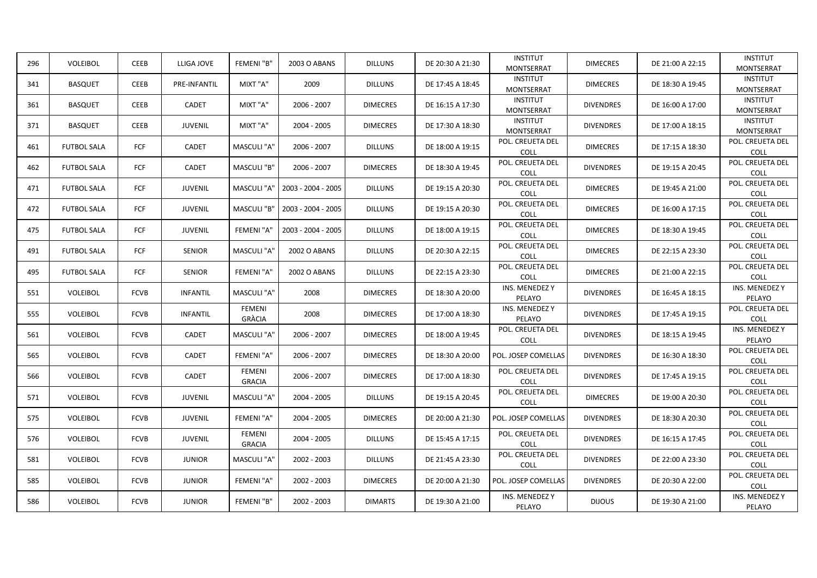| 296 | VOLEIBOL           | <b>CEEB</b> | LLIGA JOVE      | FEMENI "B"                     | 2003 O ABANS       | <b>DILLUNS</b>  | DE 20:30 A 21:30 | <b>INSTITUT</b><br><b>MONTSERRAT</b> | <b>DIMECRES</b>  | DE 21:00 A 22:15 | <b>INSTITUT</b><br><b>MONTSERRAT</b> |
|-----|--------------------|-------------|-----------------|--------------------------------|--------------------|-----------------|------------------|--------------------------------------|------------------|------------------|--------------------------------------|
| 341 | <b>BASQUET</b>     | <b>CEEB</b> | PRE-INFANTIL    | MIXT "A"                       | 2009               | <b>DILLUNS</b>  | DE 17:45 A 18:45 | <b>INSTITUT</b><br><b>MONTSERRAT</b> | <b>DIMECRES</b>  | DE 18:30 A 19:45 | <b>INSTITUT</b><br>MONTSERRAT        |
| 361 | <b>BASQUET</b>     | <b>CEEB</b> | <b>CADET</b>    | MIXT "A"                       | 2006 - 2007        | <b>DIMECRES</b> | DE 16:15 A 17:30 | <b>INSTITUT</b><br><b>MONTSERRAT</b> | <b>DIVENDRES</b> | DE 16:00 A 17:00 | <b>INSTITUT</b><br><b>MONTSERRAT</b> |
| 371 | <b>BASQUET</b>     | <b>CEEB</b> | <b>JUVENIL</b>  | MIXT "A"                       | 2004 - 2005        | <b>DIMECRES</b> | DE 17:30 A 18:30 | <b>INSTITUT</b><br><b>MONTSERRAT</b> | <b>DIVENDRES</b> | DE 17:00 A 18:15 | <b>INSTITUT</b><br><b>MONTSERRAT</b> |
| 461 | <b>FUTBOL SALA</b> | FCF         | CADET           | MASCULI "A"                    | 2006 - 2007        | <b>DILLUNS</b>  | DE 18:00 A 19:15 | POL. CREUETA DEL<br><b>COLL</b>      | <b>DIMECRES</b>  | DE 17:15 A 18:30 | POL. CREUETA DEL<br><b>COLL</b>      |
| 462 | <b>FUTBOL SALA</b> | FCF         | <b>CADET</b>    | MASCULI "B"                    | 2006 - 2007        | <b>DIMECRES</b> | DE 18:30 A 19:45 | POL. CREUETA DEL<br>COLL             | <b>DIVENDRES</b> | DE 19:15 A 20:45 | POL. CREUETA DEL<br>COLL             |
| 471 | <b>FUTBOL SALA</b> | FCF         | <b>JUVENIL</b>  | MASCULI "A"                    | 2003 - 2004 - 2005 | <b>DILLUNS</b>  | DE 19:15 A 20:30 | POL. CREUETA DEL<br>COLL             | <b>DIMECRES</b>  | DE 19:45 A 21:00 | POL. CREUETA DEL<br>COLL             |
| 472 | <b>FUTBOL SALA</b> | FCF         | <b>JUVENIL</b>  | MASCULI "B'                    | 2003 - 2004 - 2005 | <b>DILLUNS</b>  | DE 19:15 A 20:30 | POL. CREUETA DEL<br>COLL             | <b>DIMECRES</b>  | DE 16:00 A 17:15 | POL. CREUETA DEL<br>COLL             |
| 475 | <b>FUTBOL SALA</b> | FCF         | <b>JUVENIL</b>  | FEMENI "A"                     | 2003 - 2004 - 2005 | <b>DILLUNS</b>  | DE 18:00 A 19:15 | POL. CREUETA DEL<br>COLL             | <b>DIMECRES</b>  | DE 18:30 A 19:45 | POL. CREUETA DEL<br>COLL             |
| 491 | <b>FUTBOL SALA</b> | <b>FCF</b>  | <b>SENIOR</b>   | MASCULI "A'                    | 2002 O ABANS       | <b>DILLUNS</b>  | DE 20:30 A 22:15 | POL. CREUETA DEL<br><b>COLL</b>      | <b>DIMECRES</b>  | DE 22:15 A 23:30 | POL. CREUETA DEL<br>COLL             |
| 495 | <b>FUTBOL SALA</b> | FCF         | <b>SENIOR</b>   | FEMENI "A"                     | 2002 O ABANS       | <b>DILLUNS</b>  | DE 22:15 A 23:30 | POL. CREUETA DEL<br>COLL             | <b>DIMECRES</b>  | DE 21:00 A 22:15 | POL. CREUETA DEL<br>COLL             |
| 551 | VOLEIBOL           | <b>FCVB</b> | <b>INFANTIL</b> | MASCULI "A"                    | 2008               | <b>DIMECRES</b> | DE 18:30 A 20:00 | INS. MENEDEZ Y<br>PELAYO             | <b>DIVENDRES</b> | DE 16:45 A 18:15 | INS. MENEDEZ Y<br>PELAYO             |
| 555 | VOLEIBOL           | <b>FCVB</b> | <b>INFANTIL</b> | <b>FEMENI</b><br>GRÀCIA        | 2008               | <b>DIMECRES</b> | DE 17:00 A 18:30 | INS. MENEDEZ Y<br>PELAYO             | <b>DIVENDRES</b> | DE 17:45 A 19:15 | POL. CREUETA DEL<br>COLL             |
| 561 | <b>VOLEIBOL</b>    | <b>FCVB</b> | <b>CADET</b>    | MASCULI "A'                    | 2006 - 2007        | <b>DIMECRES</b> | DE 18:00 A 19:45 | POL. CREUETA DEL<br>COLL             | <b>DIVENDRES</b> | DE 18:15 A 19:45 | INS. MENEDEZ Y<br>PELAYO             |
| 565 | VOLEIBOL           | <b>FCVB</b> | <b>CADET</b>    | FEMENI "A"                     | 2006 - 2007        | <b>DIMECRES</b> | DE 18:30 A 20:00 | POL. JOSEP COMELLAS                  | <b>DIVENDRES</b> | DE 16:30 A 18:30 | POL. CREUETA DEL<br>COLL             |
| 566 | <b>VOLEIBOL</b>    | <b>FCVB</b> | CADET           | <b>FEMENI</b><br><b>GRACIA</b> | 2006 - 2007        | <b>DIMECRES</b> | DE 17:00 A 18:30 | POL. CREUETA DEL<br><b>COLL</b>      | <b>DIVENDRES</b> | DE 17:45 A 19:15 | POL. CREUETA DEL<br><b>COLL</b>      |
| 571 | <b>VOLEIBOL</b>    | <b>FCVB</b> | <b>JUVENIL</b>  | MASCULI "A"                    | 2004 - 2005        | <b>DILLUNS</b>  | DE 19:15 A 20:45 | POL. CREUETA DEL<br><b>COLL</b>      | <b>DIMECRES</b>  | DE 19:00 A 20:30 | POL. CREUETA DEL<br>COLL             |
| 575 | <b>VOLEIBOL</b>    | <b>FCVB</b> | <b>JUVENIL</b>  | FEMENI "A"                     | 2004 - 2005        | <b>DIMECRES</b> | DE 20:00 A 21:30 | POL. JOSEP COMELLAS                  | <b>DIVENDRES</b> | DE 18:30 A 20:30 | POL. CREUETA DEL<br>COLL             |
| 576 | <b>VOLEIBOL</b>    | <b>FCVB</b> | <b>JUVENIL</b>  | <b>FEMENI</b><br><b>GRACIA</b> | 2004 - 2005        | <b>DILLUNS</b>  | DE 15:45 A 17:15 | POL. CREUETA DEL<br>COLL             | <b>DIVENDRES</b> | DE 16:15 A 17:45 | POL. CREUETA DEL<br>COLL             |
| 581 | <b>VOLEIBOL</b>    | <b>FCVB</b> | <b>JUNIOR</b>   | MASCULI "A"                    | 2002 - 2003        | <b>DILLUNS</b>  | DE 21:45 A 23:30 | POL. CREUETA DEL<br>COLL             | <b>DIVENDRES</b> | DE 22:00 A 23:30 | POL. CREUETA DEL<br>COLL             |
| 585 | <b>VOLEIBOL</b>    | <b>FCVB</b> | <b>JUNIOR</b>   | FEMENI "A"                     | 2002 - 2003        | <b>DIMECRES</b> | DE 20:00 A 21:30 | POL. JOSEP COMELLAS                  | <b>DIVENDRES</b> | DE 20:30 A 22:00 | POL. CREUETA DEL<br>COLL             |
| 586 | VOLEIBOL           | <b>FCVB</b> | <b>JUNIOR</b>   | FEMENI "B"                     | 2002 - 2003        | <b>DIMARTS</b>  | DE 19:30 A 21:00 | INS. MENEDEZ Y<br>PELAYO             | <b>DIJOUS</b>    | DE 19:30 A 21:00 | INS. MENEDEZ Y<br>PELAYO             |